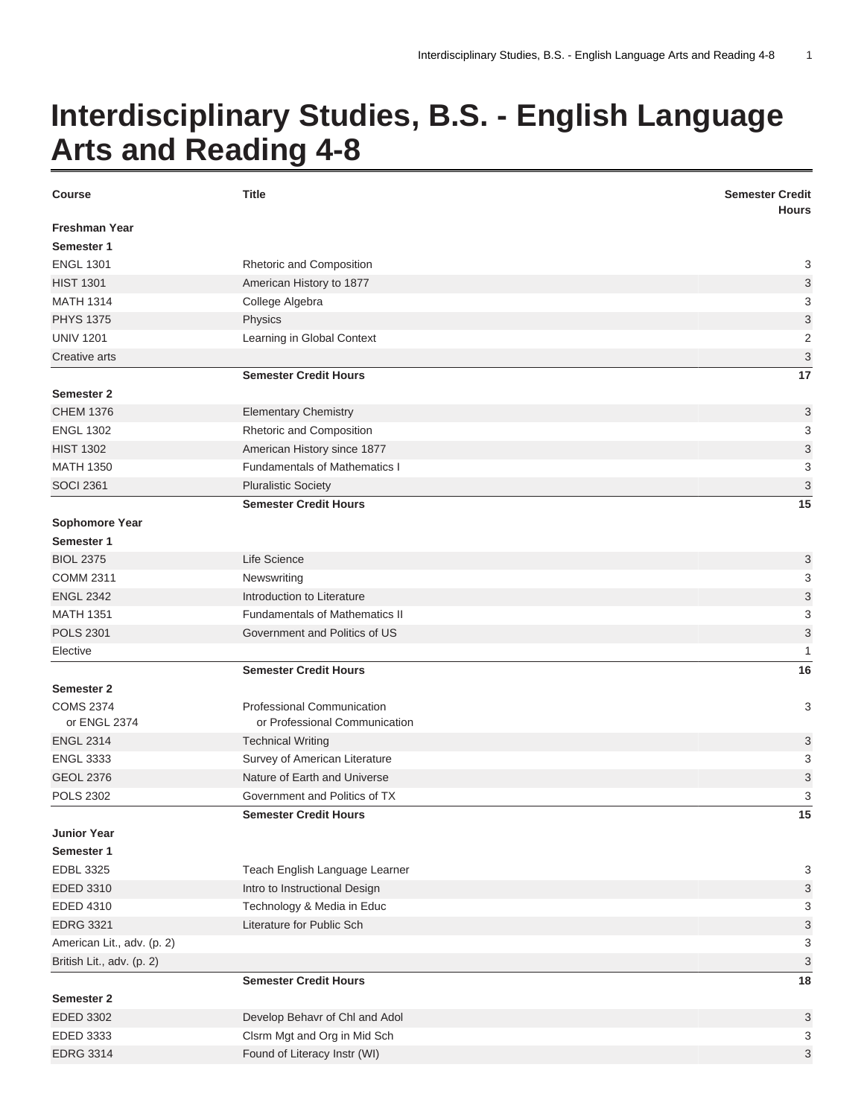## **Interdisciplinary Studies, B.S. - English Language Arts and Reading 4-8**

| <b>Course</b>              | <b>Title</b>                          | <b>Semester Credit</b><br><b>Hours</b> |
|----------------------------|---------------------------------------|----------------------------------------|
| <b>Freshman Year</b>       |                                       |                                        |
| Semester 1                 |                                       |                                        |
| <b>ENGL 1301</b>           | Rhetoric and Composition              | 3                                      |
| <b>HIST 1301</b>           | American History to 1877              | 3                                      |
| <b>MATH 1314</b>           | College Algebra                       | 3                                      |
| <b>PHYS 1375</b>           | Physics                               | 3                                      |
| <b>UNIV 1201</b>           | Learning in Global Context            | $\overline{2}$                         |
| Creative arts              |                                       | 3                                      |
|                            | <b>Semester Credit Hours</b>          | 17                                     |
| <b>Semester 2</b>          |                                       |                                        |
| <b>CHEM 1376</b>           | <b>Elementary Chemistry</b>           | 3                                      |
| <b>ENGL 1302</b>           | Rhetoric and Composition              | 3                                      |
| <b>HIST 1302</b>           | American History since 1877           | 3                                      |
| <b>MATH 1350</b>           | <b>Fundamentals of Mathematics I</b>  | 3                                      |
| <b>SOCI 2361</b>           | <b>Pluralistic Society</b>            | 3                                      |
|                            | <b>Semester Credit Hours</b>          | 15                                     |
| <b>Sophomore Year</b>      |                                       |                                        |
| Semester 1                 |                                       |                                        |
| <b>BIOL 2375</b>           | Life Science                          | 3                                      |
| <b>COMM 2311</b>           | Newswriting                           | 3                                      |
| <b>ENGL 2342</b>           | Introduction to Literature            | 3                                      |
| <b>MATH 1351</b>           | <b>Fundamentals of Mathematics II</b> | 3                                      |
| <b>POLS 2301</b>           | Government and Politics of US         | 3                                      |
| Elective                   |                                       | 1                                      |
|                            | <b>Semester Credit Hours</b>          | 16                                     |
| <b>Semester 2</b>          |                                       |                                        |
| <b>COMS 2374</b>           | Professional Communication            | 3                                      |
| or ENGL 2374               | or Professional Communication         |                                        |
| <b>ENGL 2314</b>           | <b>Technical Writing</b>              | 3                                      |
| <b>ENGL 3333</b>           | Survey of American Literature         | 3                                      |
| <b>GEOL 2376</b>           | Nature of Earth and Universe          | 3                                      |
| <b>POLS 2302</b>           | Government and Politics of TX         | 3                                      |
|                            | <b>Semester Credit Hours</b>          | 15                                     |
| <b>Junior Year</b>         |                                       |                                        |
| Semester 1                 |                                       |                                        |
| <b>EDBL 3325</b>           | Teach English Language Learner        | 3                                      |
| EDED 3310                  | Intro to Instructional Design         | 3                                      |
| EDED 4310                  | Technology & Media in Educ            | 3                                      |
| <b>EDRG 3321</b>           | Literature for Public Sch             | 3                                      |
| American Lit., adv. (p. 2) |                                       | 3                                      |
| British Lit., adv. (p. 2)  |                                       | 3                                      |
|                            | <b>Semester Credit Hours</b>          | 18                                     |
| <b>Semester 2</b>          |                                       |                                        |
| EDED 3302                  | Develop Behavr of Chl and Adol        | 3                                      |
| EDED 3333                  | Clsrm Mgt and Org in Mid Sch          | 3                                      |
| <b>EDRG 3314</b>           | Found of Literacy Instr (WI)          | 3                                      |
|                            |                                       |                                        |